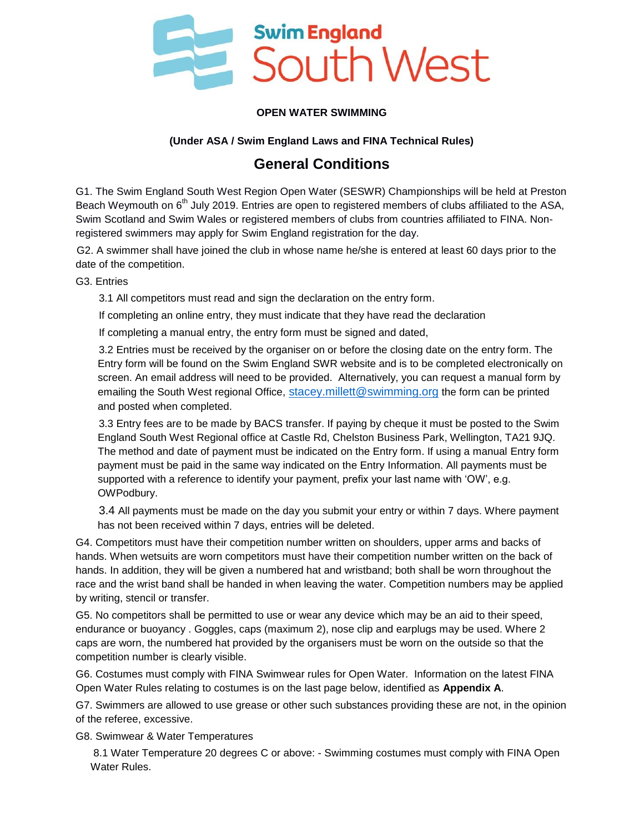

### **OPEN WATER SWIMMING**

### **(Under ASA / Swim England Laws and FINA Technical Rules)**

## **General Conditions**

G1. The Swim England South West Region Open Water (SESWR) Championships will be held at Preston Beach Weymouth on 6<sup>th</sup> July 2019. Entries are open to registered members of clubs affiliated to the ASA, Swim Scotland and Swim Wales or registered members of clubs from countries affiliated to FINA. Nonregistered swimmers may apply for Swim England registration for the day.

G2. A swimmer shall have joined the club in whose name he/she is entered at least 60 days prior to the date of the competition.

G3. Entries

3.1 All competitors must read and sign the declaration on the entry form.

If completing an online entry, they must indicate that they have read the declaration

If completing a manual entry, the entry form must be signed and dated,

3.2 Entries must be received by the organiser on or before the closing date on the entry form. The Entry form will be found on the Swim England SWR website and is to be completed electronically on screen. An email address will need to be provided. Alternatively, you can request a manual form by emailing the South West regional Office, [stacey.millett@swimming.org](mailto:stacey.millett@swimming.org) the form can be printed and posted when completed.

3.3 Entry fees are to be made by BACS transfer. If paying by cheque it must be posted to the Swim England South West Regional office at Castle Rd, Chelston Business Park, Wellington, TA21 9JQ. The method and date of payment must be indicated on the Entry form. If using a manual Entry form payment must be paid in the same way indicated on the Entry Information. All payments must be supported with a reference to identify your payment, prefix your last name with 'OW', e.g. OWPodbury.

3.4 All payments must be made on the day you submit your entry or within 7 days. Where payment has not been received within 7 days, entries will be deleted.

G4. Competitors must have their competition number written on shoulders, upper arms and backs of hands. When wetsuits are worn competitors must have their competition number written on the back of hands. In addition, they will be given a numbered hat and wristband; both shall be worn throughout the race and the wrist band shall be handed in when leaving the water. Competition numbers may be applied by writing, stencil or transfer.

G5. No competitors shall be permitted to use or wear any device which may be an aid to their speed, endurance or buoyancy . Goggles, caps (maximum 2), nose clip and earplugs may be used. Where 2 caps are worn, the numbered hat provided by the organisers must be worn on the outside so that the competition number is clearly visible.

G6. Costumes must comply with FINA Swimwear rules for Open Water. Information on the latest FINA Open Water Rules relating to costumes is on the last page below, identified as **Appendix A**.

G7. Swimmers are allowed to use grease or other such substances providing these are not, in the opinion of the referee, excessive.

G8. Swimwear & Water Temperatures

8.1 Water Temperature 20 degrees C or above: - Swimming costumes must comply with FINA Open Water Rules.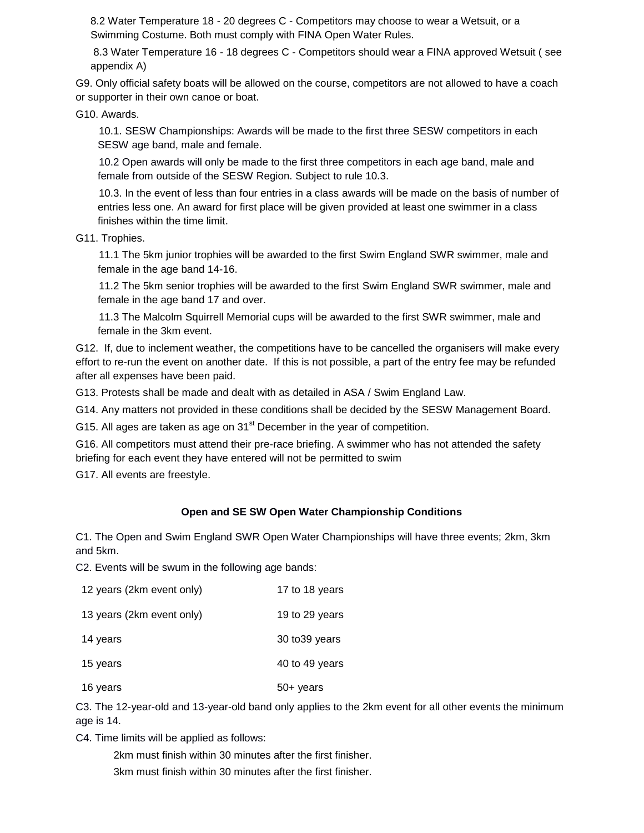8.2 Water Temperature 18 - 20 degrees C - Competitors may choose to wear a Wetsuit, or a Swimming Costume. Both must comply with FINA Open Water Rules.

8.3 Water Temperature 16 - 18 degrees C - Competitors should wear a FINA approved Wetsuit ( see appendix A)

G9. Only official safety boats will be allowed on the course, competitors are not allowed to have a coach or supporter in their own canoe or boat.

G10. Awards.

10.1. SESW Championships: Awards will be made to the first three SESW competitors in each SESW age band, male and female.

10.2 Open awards will only be made to the first three competitors in each age band, male and female from outside of the SESW Region. Subject to rule 10.3.

10.3. In the event of less than four entries in a class awards will be made on the basis of number of entries less one. An award for first place will be given provided at least one swimmer in a class finishes within the time limit.

G11. Trophies.

11.1 The 5km junior trophies will be awarded to the first Swim England SWR swimmer, male and female in the age band 14-16.

11.2 The 5km senior trophies will be awarded to the first Swim England SWR swimmer, male and female in the age band 17 and over.

11.3 The Malcolm Squirrell Memorial cups will be awarded to the first SWR swimmer, male and female in the 3km event.

G12. If, due to inclement weather, the competitions have to be cancelled the organisers will make every effort to re-run the event on another date. If this is not possible, a part of the entry fee may be refunded after all expenses have been paid.

G13. Protests shall be made and dealt with as detailed in ASA / Swim England Law.

G14. Any matters not provided in these conditions shall be decided by the SESW Management Board.

G15. All ages are taken as age on  $31<sup>st</sup>$  December in the year of competition.

G16. All competitors must attend their pre-race briefing. A swimmer who has not attended the safety briefing for each event they have entered will not be permitted to swim

G17. All events are freestyle.

#### **Open and SE SW Open Water Championship Conditions**

C1. The Open and Swim England SWR Open Water Championships will have three events; 2km, 3km and 5km.

C2. Events will be swum in the following age bands:

| 12 years (2km event only) | 17 to 18 years |
|---------------------------|----------------|
| 13 years (2km event only) | 19 to 29 years |
| 14 years                  | 30 to 39 years |
| 15 years                  | 40 to 49 years |
| 16 years                  | 50+ years      |

C3. The 12-year-old and 13-year-old band only applies to the 2km event for all other events the minimum age is 14.

C4. Time limits will be applied as follows:

2km must finish within 30 minutes after the first finisher. 3km must finish within 30 minutes after the first finisher.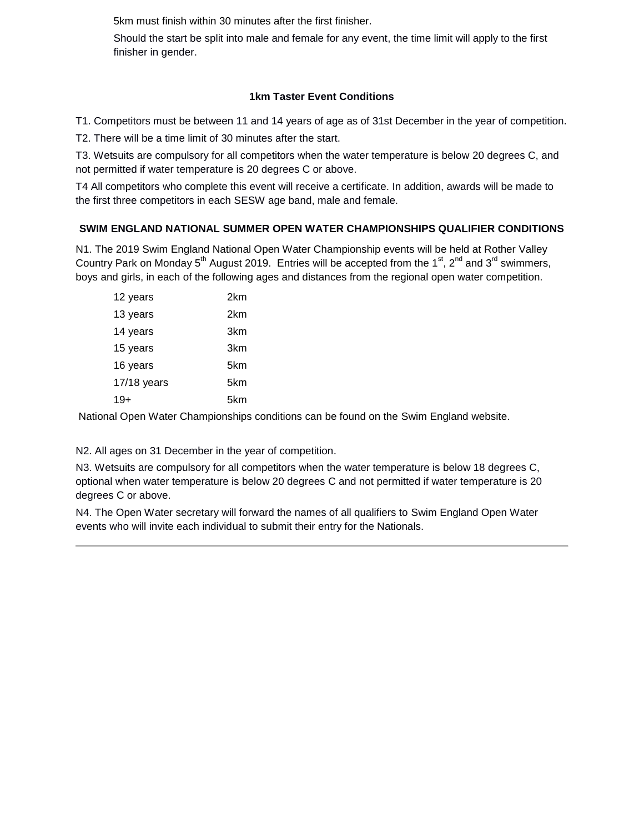5km must finish within 30 minutes after the first finisher.

Should the start be split into male and female for any event, the time limit will apply to the first finisher in gender.

### **1km Taster Event Conditions**

T1. Competitors must be between 11 and 14 years of age as of 31st December in the year of competition.

T2. There will be a time limit of 30 minutes after the start.

T3. Wetsuits are compulsory for all competitors when the water temperature is below 20 degrees C, and not permitted if water temperature is 20 degrees C or above.

T4 All competitors who complete this event will receive a certificate. In addition, awards will be made to the first three competitors in each SESW age band, male and female.

### **SWIM ENGLAND NATIONAL SUMMER OPEN WATER CHAMPIONSHIPS QUALIFIER CONDITIONS**

N1. The 2019 Swim England National Open Water Championship events will be held at Rother Valley Country Park on Monday  $5<sup>th</sup>$  August 2019. Entries will be accepted from the 1<sup>st</sup>, 2<sup>nd</sup> and 3<sup>rd</sup> swimmers, boys and girls, in each of the following ages and distances from the regional open water competition.

| 12 years    | 2km |
|-------------|-----|
| 13 years    | 2km |
| 14 years    | 3km |
| 15 years    | 3km |
| 16 years    | 5km |
| 17/18 years | 5km |
| 19+         | 5km |
|             |     |

National Open Water Championships conditions can be found on the Swim England website.

N2. All ages on 31 December in the year of competition.

N3. Wetsuits are compulsory for all competitors when the water temperature is below 18 degrees C, optional when water temperature is below 20 degrees C and not permitted if water temperature is 20 degrees C or above.

N4. The Open Water secretary will forward the names of all qualifiers to Swim England Open Water events who will invite each individual to submit their entry for the Nationals.